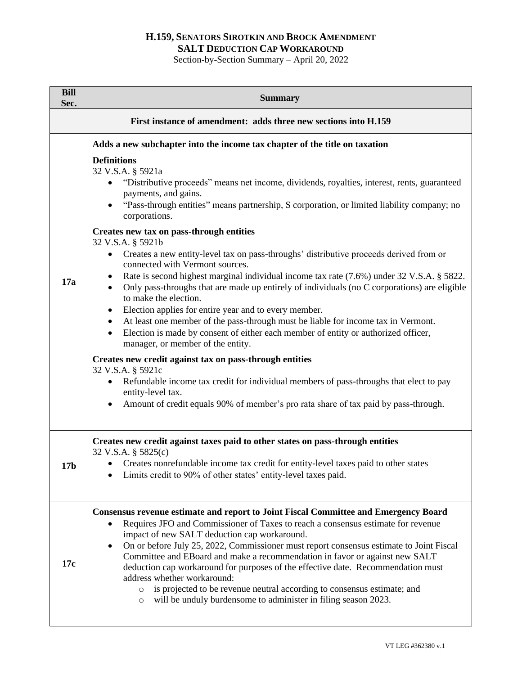## **H.159, SENATORS SIROTKIN AND BROCK AMENDMENT SALT DEDUCTION CAP WORKAROUND**

Section-by-Section Summary – April 20, 2022

| <b>Bill</b><br>Sec.                                             | <b>Summary</b>                                                                                                                                                                                                                                                                                                                                                                                                                                                                                                                                                                                                                                                                                                                                                                                                                                                                                                                                                                                                                                                                                                                                                                                                                                                                                                                                                           |  |
|-----------------------------------------------------------------|--------------------------------------------------------------------------------------------------------------------------------------------------------------------------------------------------------------------------------------------------------------------------------------------------------------------------------------------------------------------------------------------------------------------------------------------------------------------------------------------------------------------------------------------------------------------------------------------------------------------------------------------------------------------------------------------------------------------------------------------------------------------------------------------------------------------------------------------------------------------------------------------------------------------------------------------------------------------------------------------------------------------------------------------------------------------------------------------------------------------------------------------------------------------------------------------------------------------------------------------------------------------------------------------------------------------------------------------------------------------------|--|
| First instance of amendment: adds three new sections into H.159 |                                                                                                                                                                                                                                                                                                                                                                                                                                                                                                                                                                                                                                                                                                                                                                                                                                                                                                                                                                                                                                                                                                                                                                                                                                                                                                                                                                          |  |
| 17a                                                             | Adds a new subchapter into the income tax chapter of the title on taxation<br><b>Definitions</b><br>32 V.S.A. § 5921a<br>"Distributive proceeds" means net income, dividends, royalties, interest, rents, guaranteed<br>payments, and gains.<br>"Pass-through entities" means partnership, S corporation, or limited liability company; no<br>corporations.<br>Creates new tax on pass-through entities<br>32 V.S.A. § 5921b<br>Creates a new entity-level tax on pass-throughs' distributive proceeds derived from or<br>connected with Vermont sources.<br>Rate is second highest marginal individual income tax rate (7.6%) under 32 V.S.A. § 5822.<br>Only pass-throughs that are made up entirely of individuals (no C corporations) are eligible<br>$\bullet$<br>to make the election.<br>Election applies for entire year and to every member.<br>At least one member of the pass-through must be liable for income tax in Vermont.<br>Election is made by consent of either each member of entity or authorized officer,<br>$\bullet$<br>manager, or member of the entity.<br>Creates new credit against tax on pass-through entities<br>32 V.S.A. § 5921c<br>Refundable income tax credit for individual members of pass-throughs that elect to pay<br>entity-level tax.<br>Amount of credit equals 90% of member's pro rata share of tax paid by pass-through. |  |
| 17 <sub>b</sub>                                                 | Creates new credit against taxes paid to other states on pass-through entities<br>32 V.S.A. § 5825(c)<br>Creates nonrefundable income tax credit for entity-level taxes paid to other states<br>Limits credit to 90% of other states' entity-level taxes paid.                                                                                                                                                                                                                                                                                                                                                                                                                                                                                                                                                                                                                                                                                                                                                                                                                                                                                                                                                                                                                                                                                                           |  |
| 17c                                                             | <b>Consensus revenue estimate and report to Joint Fiscal Committee and Emergency Board</b><br>Requires JFO and Commissioner of Taxes to reach a consensus estimate for revenue<br>impact of new SALT deduction cap workaround.<br>On or before July 25, 2022, Commissioner must report consensus estimate to Joint Fiscal<br>Committee and EBoard and make a recommendation in favor or against new SALT<br>deduction cap workaround for purposes of the effective date. Recommendation must<br>address whether workaround:<br>is projected to be revenue neutral according to consensus estimate; and<br>$\circ$<br>will be unduly burdensome to administer in filing season 2023.<br>$\circ$                                                                                                                                                                                                                                                                                                                                                                                                                                                                                                                                                                                                                                                                           |  |